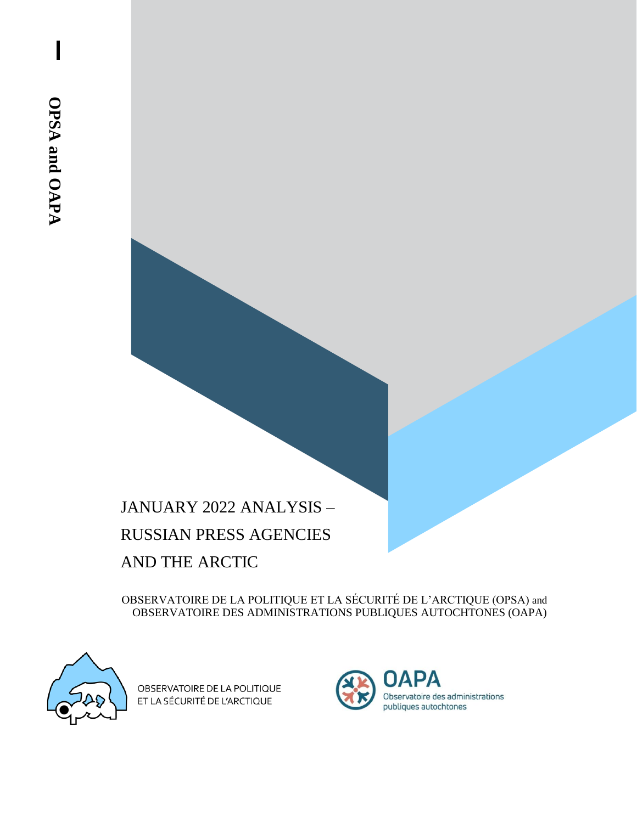# JANUARY 2022 ANALYSIS – RUSSIAN PRESS AGENCIES AND THE ARCTIC

OBSERVATOIRE DE LA POLITIQUE ET LA SÉCURITÉ DE L'ARCTIQUE (OPSA) and OBSERVATOIRE DES ADMINISTRATIONS PUBLIQUES AUTOCHTONES (OAPA)



OBSERVATOIRE DE LA POLITIQUE ET LA SÉCURITÉ DE L'ARCTIQUE

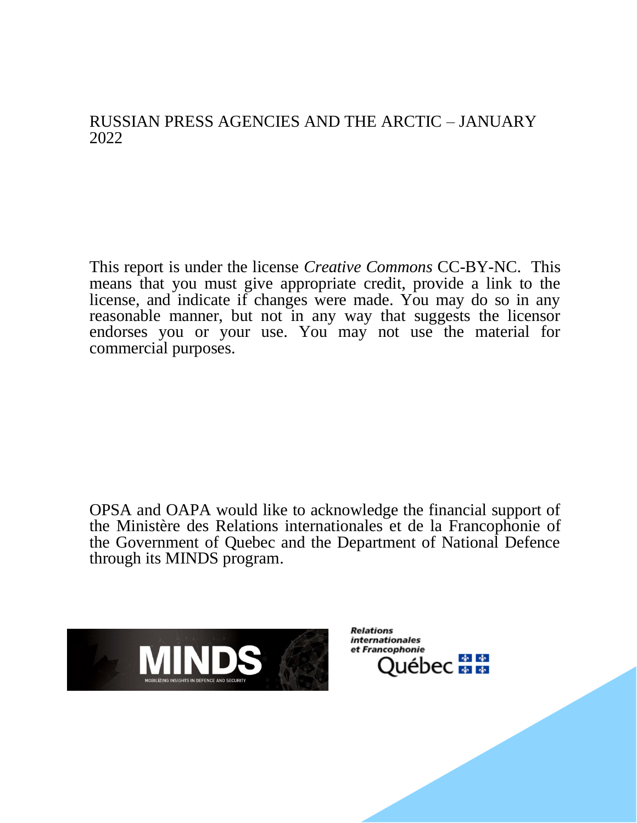### RUSSIAN PRESS AGENCIES AND THE ARCTIC – JANUARY 2022

This report is under the license *Creative Commons* CC-BY-NC. This means that you must give appropriate credit, provide a link to the license, and indicate if changes were made. You may do so in any reasonable manner, but not in any way that suggests the licensor endorses you or your use. You may not use the material for commercial purposes.

OPSA and OAPA would like to acknowledge the financial support of the Ministère des Relations internationales et de la Francophonie of the Government of Quebec and the Department of National Defence through its MINDS program.



**Relations** *internationales* et Francophonie Québec <mark>≢ #</mark>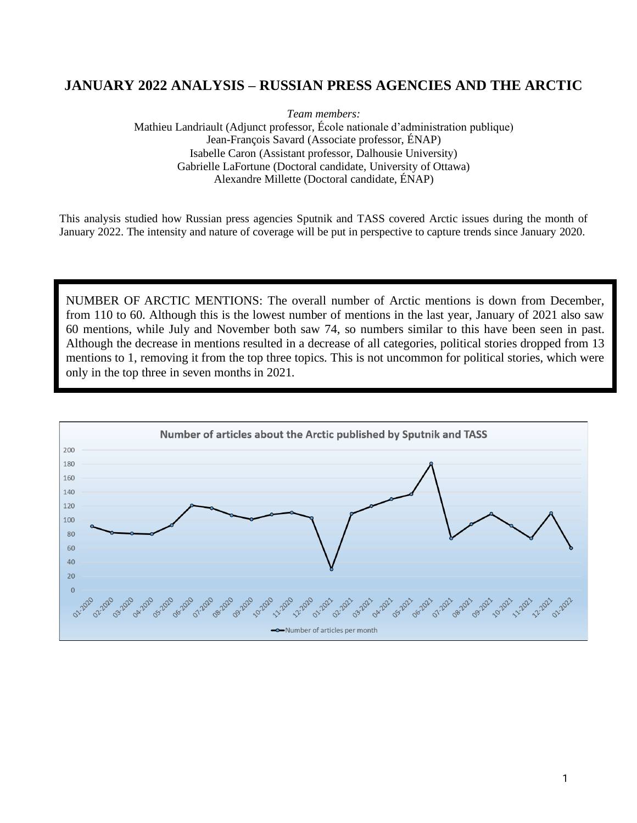#### **JANUARY 2022 ANALYSIS – RUSSIAN PRESS AGENCIES AND THE ARCTIC**

*Team members:* 

Mathieu Landriault (Adjunct professor, École nationale d'administration publique) Jean-François Savard (Associate professor, ÉNAP) Isabelle Caron (Assistant professor, Dalhousie University) Gabrielle LaFortune (Doctoral candidate, University of Ottawa) Alexandre Millette (Doctoral candidate, ÉNAP)

This analysis studied how Russian press agencies Sputnik and TASS covered Arctic issues during the month of January 2022. The intensity and nature of coverage will be put in perspective to capture trends since January 2020.

NUMBER OF ARCTIC MENTIONS: The overall number of Arctic mentions is down from December, from 110 to 60. Although this is the lowest number of mentions in the last year, January of 2021 also saw 60 mentions, while July and November both saw 74, so numbers similar to this have been seen in past. Although the decrease in mentions resulted in a decrease of all categories, political stories dropped from 13 mentions to 1, removing it from the top three topics. This is not uncommon for political stories, which were only in the top three in seven months in 2021.

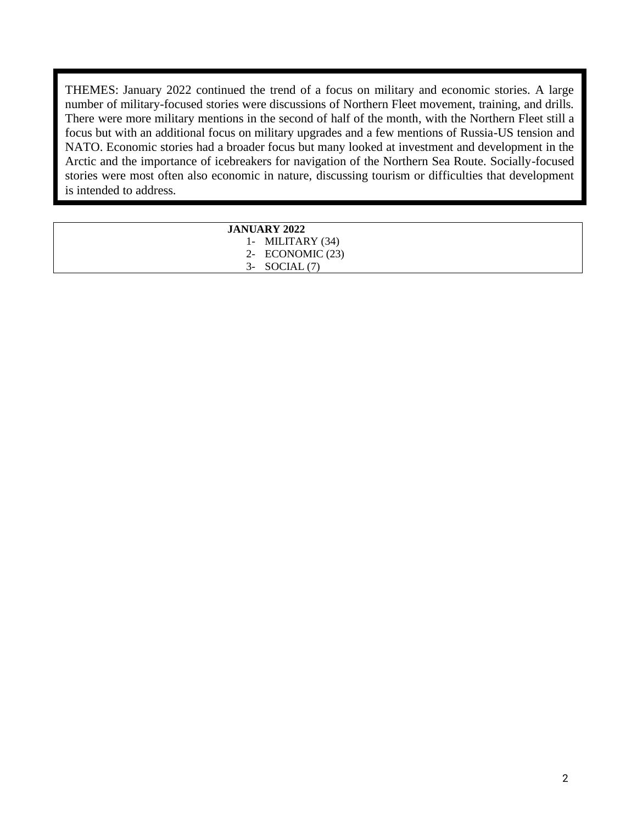THEMES: January 2022 continued the trend of a focus on military and economic stories. A large number of military-focused stories were discussions of Northern Fleet movement, training, and drills. There were more military mentions in the second of half of the month, with the Northern Fleet still a focus but with an additional focus on military upgrades and a few mentions of Russia-US tension and NATO. Economic stories had a broader focus but many looked at investment and development in the Arctic and the importance of icebreakers for navigation of the Northern Sea Route. Socially-focused stories were most often also economic in nature, discussing tourism or difficulties that development is intended to address.

| <b>JANUARY 2022</b> |  |
|---------------------|--|
| 1- MILITARY $(34)$  |  |
| 2- ECONOMIC $(23)$  |  |
| $3-$ SOCIAL $(7)$   |  |
|                     |  |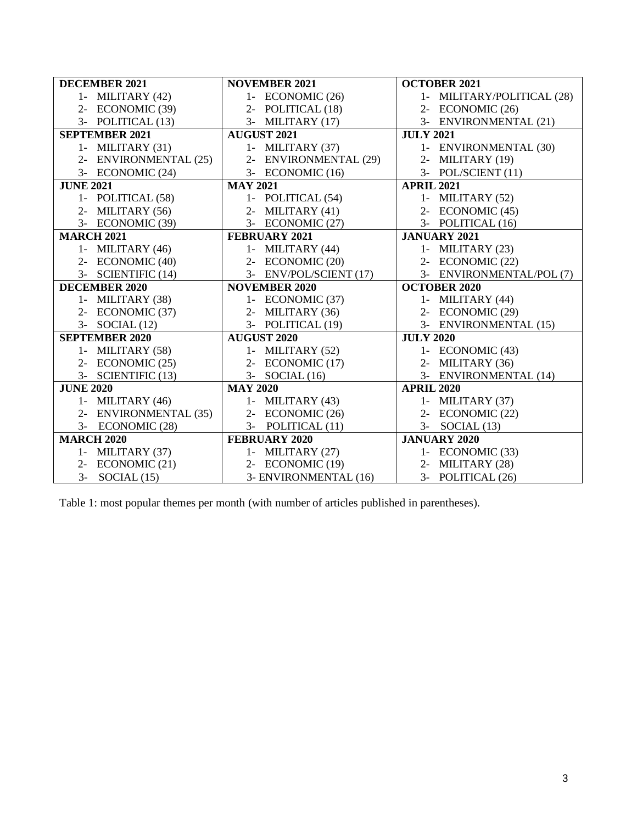| <b>DECEMBER 2021</b>                   | <b>NOVEMBER 2021</b>                      | <b>OCTOBER 2021</b>                   |
|----------------------------------------|-------------------------------------------|---------------------------------------|
| 1- MILITARY $(42)$                     | 1- ECONOMIC (26)                          | 1- MILITARY/POLITICAL (28)            |
| 2- ECONOMIC (39)                       | 2- POLITICAL (18)                         | 2- ECONOMIC (26)                      |
| 3- POLITICAL (13)                      | 3- MILITARY (17)                          | 3- ENVIRONMENTAL (21)                 |
| <b>SEPTEMBER 2021</b>                  | <b>AUGUST 2021</b>                        | <b>JULY 2021</b>                      |
| 1- MILITARY $(31)$                     | 1- MILITARY $(37)$                        | 1- ENVIRONMENTAL (30)                 |
| 2- ENVIRONMENTAL (25)                  | 2- ENVIRONMENTAL (29)                     | 2- MILITARY (19)                      |
| 3- ECONOMIC (24)                       | 3- ECONOMIC (16)                          | 3- POL/SCIENT (11)                    |
| <b>JUNE 2021</b>                       | <b>MAY 2021</b>                           | <b>APRIL 2021</b>                     |
| 1- POLITICAL (58)                      | 1- POLITICAL (54)                         | 1- MILITARY $(52)$                    |
| 2- MILITARY $(56)$                     | 2- MILITARY $(41)$                        | 2- ECONOMIC (45)                      |
| 3- ECONOMIC (39)                       | 3- ECONOMIC (27)                          | 3- POLITICAL (16)                     |
| <b>MARCH 2021</b>                      | <b>FEBRUARY 2021</b>                      | <b>JANUARY 2021</b>                   |
| 1- MILITARY $(46)$                     | 1- MILITARY $(44)$                        | 1- MILITARY $(23)$                    |
| 2- ECONOMIC (40)                       | 2- ECONOMIC (20)                          | 2- ECONOMIC (22)                      |
| 3- SCIENTIFIC (14)                     | 3- ENV/POL/SCIENT (17)                    | 3- ENVIRONMENTAL/POL (7)              |
|                                        |                                           |                                       |
| <b>DECEMBER 2020</b>                   | <b>NOVEMBER 2020</b>                      | <b>OCTOBER 2020</b>                   |
| 1- MILITARY (38)                       | 1- ECONOMIC (37)                          | 1- MILITARY $(44)$                    |
| 2- ECONOMIC (37)                       | 2- MILITARY $(36)$                        | 2- ECONOMIC (29)                      |
| $3-$ SOCIAL $(12)$                     | 3- POLITICAL (19)                         | 3- ENVIRONMENTAL (15)                 |
| <b>SEPTEMBER 2020</b>                  | <b>AUGUST 2020</b>                        | <b>JULY 2020</b>                      |
| 1- MILITARY (58)                       | 1- MILITARY $(52)$                        | 1- ECONOMIC (43)                      |
| 2- ECONOMIC (25)                       | 2- ECONOMIC (17)                          | 2- MILITARY (36)                      |
| 3- SCIENTIFIC (13)                     | $3-$ SOCIAL $(16)$                        | 3- ENVIRONMENTAL (14)                 |
| <b>JUNE 2020</b>                       | <b>MAY 2020</b>                           | <b>APRIL 2020</b>                     |
| 1- MILITARY $(46)$                     | 1- MILITARY $(43)$                        | 1- MILITARY $(37)$                    |
| 2- ENVIRONMENTAL (35)                  | 2- ECONOMIC (26)                          | 2- ECONOMIC (22)                      |
| 3- ECONOMIC (28)                       | 3- POLITICAL (11)                         | $3-$<br>SOCIAL $(13)$                 |
| <b>MARCH 2020</b>                      | <b>FEBRUARY 2020</b>                      | <b>JANUARY 2020</b>                   |
| 1- MILITARY (37)                       | 1- MILITARY $(27)$                        | 1- ECONOMIC (33)                      |
| 2- ECONOMIC (21)<br>$3-$ SOCIAL $(15)$ | 2- ECONOMIC (19)<br>3- ENVIRONMENTAL (16) | 2- MILITARY (28)<br>3- POLITICAL (26) |

Table 1: most popular themes per month (with number of articles published in parentheses).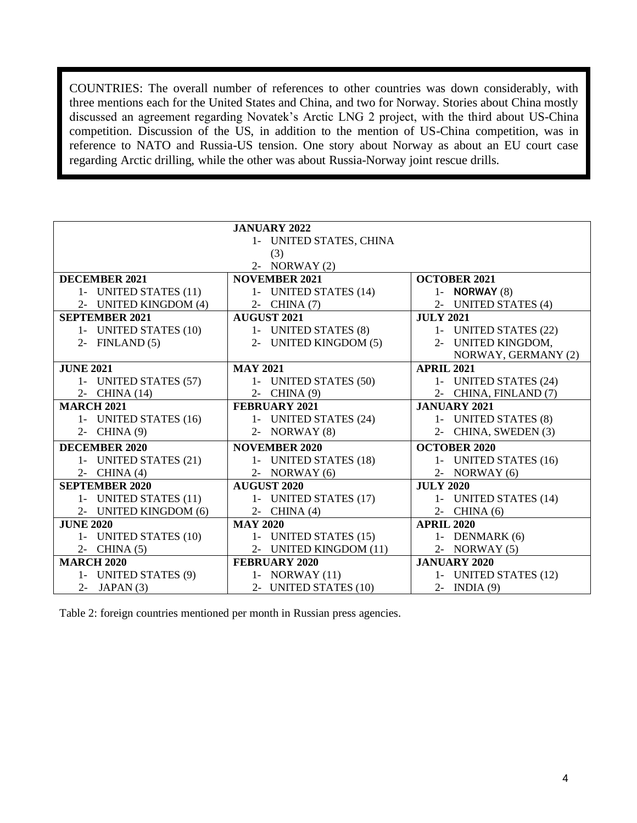COUNTRIES: The overall number of references to other countries was down considerably, with three mentions each for the United States and China, and two for Norway. Stories about China mostly discussed an agreement regarding Novatek's Arctic LNG 2 project, with the third about US-China competition. Discussion of the US, in addition to the mention of US-China competition, was in reference to NATO and Russia-US tension. One story about Norway as about an EU court case regarding Arctic drilling, while the other was about Russia-Norway joint rescue drills.

|                       | <b>JANUARY 2022</b>     |                        |
|-----------------------|-------------------------|------------------------|
|                       | 1- UNITED STATES, CHINA |                        |
|                       | (3)                     |                        |
|                       | 2- NORWAY $(2)$         |                        |
| DECEMBER 2021         | <b>NOVEMBER 2021</b>    | <b>OCTOBER 2021</b>    |
| 1- UNITED STATES (11) | 1- UNITED STATES (14)   | 1- <b>NORWAY</b> $(8)$ |
| 2- UNITED KINGDOM (4) | 2- CHINA (7)            | 2- UNITED STATES (4)   |
| <b>SEPTEMBER 2021</b> | <b>AUGUST 2021</b>      | <b>JULY 2021</b>       |
| 1- UNITED STATES (10) | 1- UNITED STATES (8)    | 1- UNITED STATES (22)  |
| FINLAND (5)<br>$2 -$  | 2- UNITED KINGDOM (5)   | 2- UNITED KINGDOM,     |
|                       |                         | NORWAY, GERMANY (2)    |
| <b>JUNE 2021</b>      | <b>MAY 2021</b>         | <b>APRIL 2021</b>      |
| 1- UNITED STATES (57) | 1- UNITED STATES (50)   | 1- UNITED STATES (24)  |
| 2- CHINA (14)         | 2- CHINA (9)            | 2- CHINA, FINLAND (7)  |
| <b>MARCH 2021</b>     | <b>FEBRUARY 2021</b>    | <b>JANUARY 2021</b>    |
| 1- UNITED STATES (16) | 1- UNITED STATES (24)   | 1- UNITED STATES (8)   |
| 2- CHINA (9)          | 2- NORWAY $(8)$         | 2- CHINA, SWEDEN (3)   |
| <b>DECEMBER 2020</b>  | <b>NOVEMBER 2020</b>    | <b>OCTOBER 2020</b>    |
| 1- UNITED STATES (21) | 1- UNITED STATES (18)   | 1- UNITED STATES (16)  |
| 2- CHINA $(4)$        | 2- NORWAY $(6)$         | 2- NORWAY $(6)$        |
| <b>SEPTEMBER 2020</b> | <b>AUGUST 2020</b>      | <b>JULY 2020</b>       |
| 1- UNITED STATES (11) | 1- UNITED STATES (17)   | 1- UNITED STATES (14)  |
| 2- UNITED KINGDOM (6) | 2- CHINA $(4)$          | $2-$ CHINA $(6)$       |
| <b>JUNE 2020</b>      | <b>MAY 2020</b>         | <b>APRIL 2020</b>      |
| 1- UNITED STATES (10) | 1- UNITED STATES (15)   | 1- DENMARK (6)         |
| 2- CHINA $(5)$        | 2- UNITED KINGDOM (11)  | 2- NORWAY $(5)$        |
| <b>MARCH 2020</b>     | <b>FEBRUARY 2020</b>    | <b>JANUARY 2020</b>    |
| 1- UNITED STATES (9)  | 1- NORWAY $(11)$        | 1- UNITED STATES (12)  |
| 2- JAPAN $(3)$        | 2- UNITED STATES (10)   | $2$ - INDIA $(9)$      |

Table 2: foreign countries mentioned per month in Russian press agencies.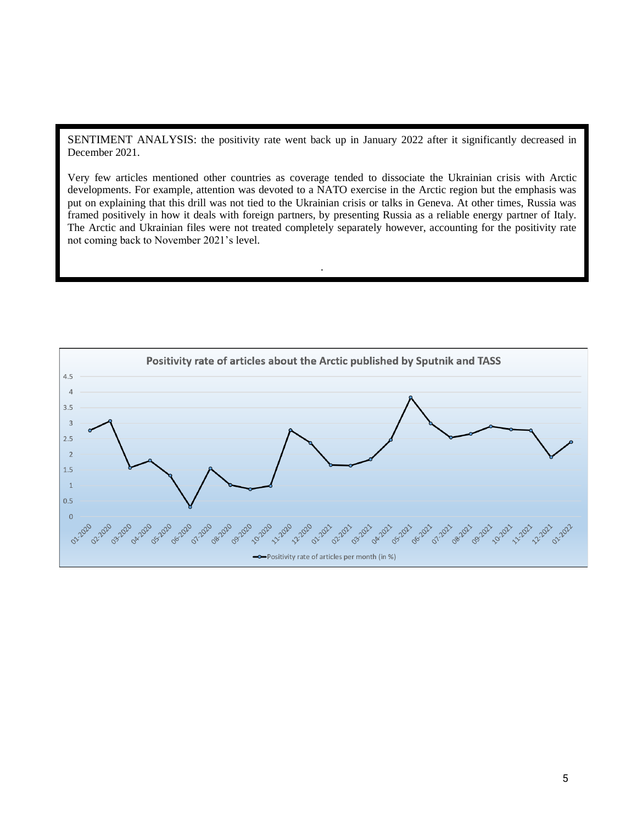SENTIMENT ANALYSIS: the positivity rate went back up in January 2022 after it significantly decreased in December 2021.

Very few articles mentioned other countries as coverage tended to dissociate the Ukrainian crisis with Arctic developments. For example, attention was devoted to a NATO exercise in the Arctic region but the emphasis was put on explaining that this drill was not tied to the Ukrainian crisis or talks in Geneva. At other times, Russia was framed positively in how it deals with foreign partners, by presenting Russia as a reliable energy partner of Italy. The Arctic and Ukrainian files were not treated completely separately however, accounting for the positivity rate not coming back to November 2021's level.

.

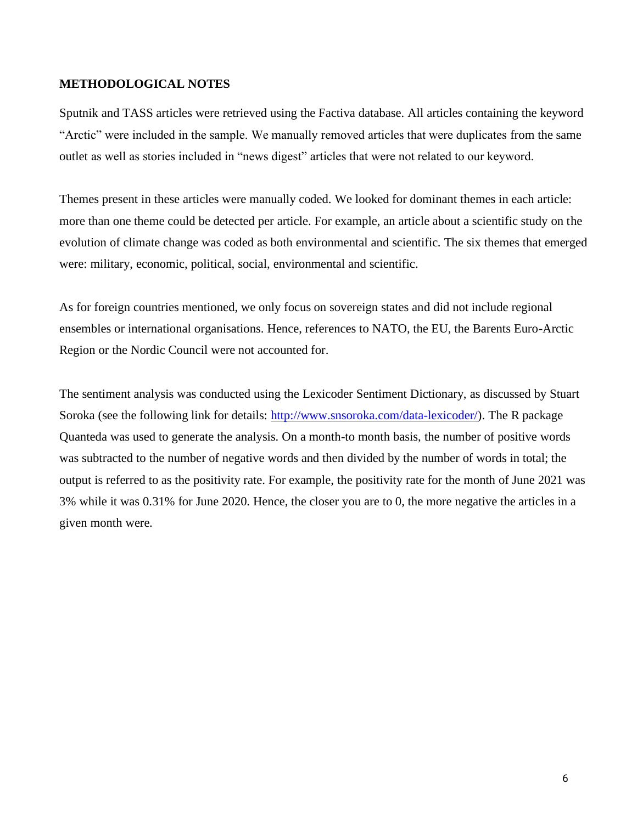#### **METHODOLOGICAL NOTES**

Sputnik and TASS articles were retrieved using the Factiva database. All articles containing the keyword "Arctic" were included in the sample. We manually removed articles that were duplicates from the same outlet as well as stories included in "news digest" articles that were not related to our keyword.

Themes present in these articles were manually coded. We looked for dominant themes in each article: more than one theme could be detected per article. For example, an article about a scientific study on the evolution of climate change was coded as both environmental and scientific. The six themes that emerged were: military, economic, political, social, environmental and scientific.

As for foreign countries mentioned, we only focus on sovereign states and did not include regional ensembles or international organisations. Hence, references to NATO, the EU, the Barents Euro-Arctic Region or the Nordic Council were not accounted for.

The sentiment analysis was conducted using the Lexicoder Sentiment Dictionary, as discussed by Stuart Soroka (see the following link for details: [http://www.snsoroka.com/data-lexicoder/\)](http://www.snsoroka.com/data-lexicoder/). The R package Quanteda was used to generate the analysis. On a month-to month basis, the number of positive words was subtracted to the number of negative words and then divided by the number of words in total; the output is referred to as the positivity rate. For example, the positivity rate for the month of June 2021 was 3% while it was 0.31% for June 2020. Hence, the closer you are to 0, the more negative the articles in a given month were.